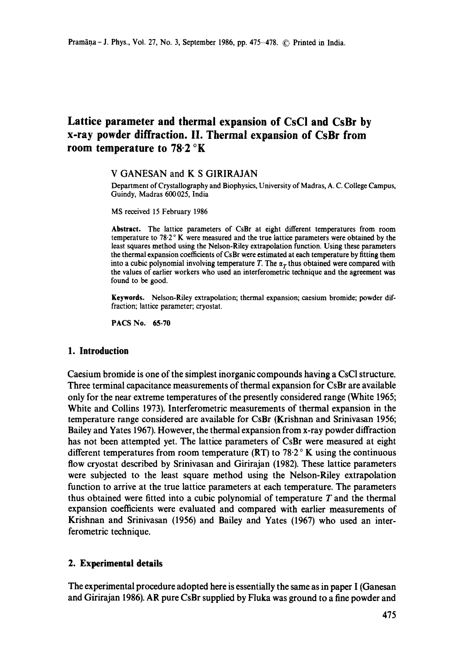# **Lattice parameter and thermal expansion of CsCI and CsBr by x-ray powder diffraction. II. Thermal expansion of CsBr from room temperature to 78.2 °K**

## V GANESAN and K S GIRIRAJAN

Department of Crystallography and Biophysics, University of Madras, A. C. College Campus, Guindy, Madras 600025, India

MS received 15 February 1986

**Abstract.** The lattice parameters of CsBr at eight different temperatures from room temperature to  $78.2 \degree$  K were measured and the true lattice parameters were obtained by the least squares method using the Nelson-Riley extrapolation function. Using these parameters the thermal expansion coefficients of CsBr were estimated at each temperature by fitting them into a cubic polynomial involving temperature T. The  $\alpha_T$  thus obtained were compared with the values of earlier workers who used an interferometric technique and the agreement was found to be good.

**Keywords.** Nelson-Riley extrapolation; thermal expansion; caesium bromide; powder diffraction; lattice parameter; cryostat.

PACS No. **65.70** 

#### **1. Introduction**

Caesium bromide is one of the simplest inorganic compounds having a CsCI structure. Three terminal capacitance measurements of thermal expansion for CsBr are available only for the near extreme temperatures of the presently considered range (White 1965; White and Collins 1973). Interferometric measurements of thermal expansion in the temperature range considered are available for CsBr (Krishnan and Srinivasan 1956; Bailey and Yates 1967). However, the thermal expansion from x-ray powder diffraction has not been attempted yet. The lattice parameters of CsBr were measured at eight different temperatures from room temperature (RT) to 78.2  $\textdegree$  K using the continuous flow cryostat described by Srinivasan and Girirajan (1982). These lattice parameters were subjected to the least square method using the Nelson-Riley extrapolation function to arrive at the true lattice parameters at each temperature. The parameters thus obtained were fitted into a cubic polynomial of temperature  $T$  and the thermal expansion coefficients were evaluated and compared with earlier measurements of Krishnan and Srinivasan (1956) and Bailey and Yates (1967) who used an interferometric technique.

# **2. Experimental details**

The experimental procedure adopted here is essentially the same as in paper I (Ganesan and Girirajan 1986). AR pure CsBr supplied by Fluka was ground to a fine powder and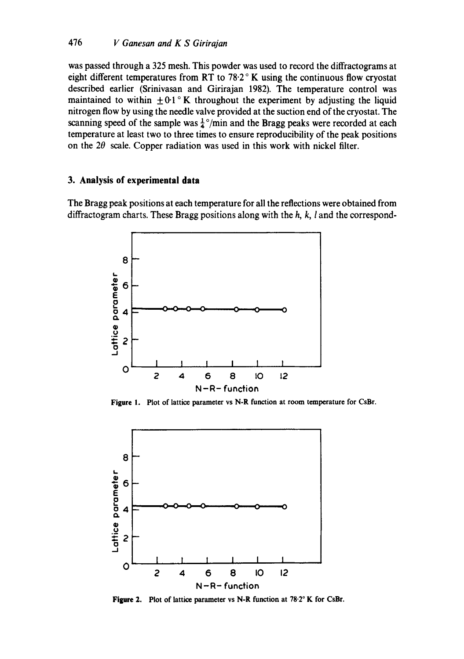was passed through a 325 mesh. This powder was used to record the diffractograms at eight different temperatures from RT to 78.2 $\degree$  K using the continuous flow cryostat described earlier (Srinivasan and Girirajan 1982). The temperature control was maintained to within  $\pm 0.1$  K throughout the experiment by adjusting the liquid nitrogen flow by using the needle valve provided at the suction end of the cryostat. The scanning speed of the sample was  $\frac{1}{4}$ °/min and the Bragg peaks were recorded at each temperature at least two to three times to ensure reproducibility of the peak positions on the  $2\theta$  scale. Copper radiation was used in this work with nickel filter.

# **3. Analysis of experimental data**

The Bragg peak positions at each temperature for all the reflections were obtained from diffractogram charts. These Bragg positions along with the  $h$ ,  $k$ ,  $l$  and the correspond-



**Figure 1.**  Plot of lattice parameter vs N-R function at room temperature for CsBr,



Figure 2. Plot of lattice parameter vs N-R function at 78.2° K for CsBr.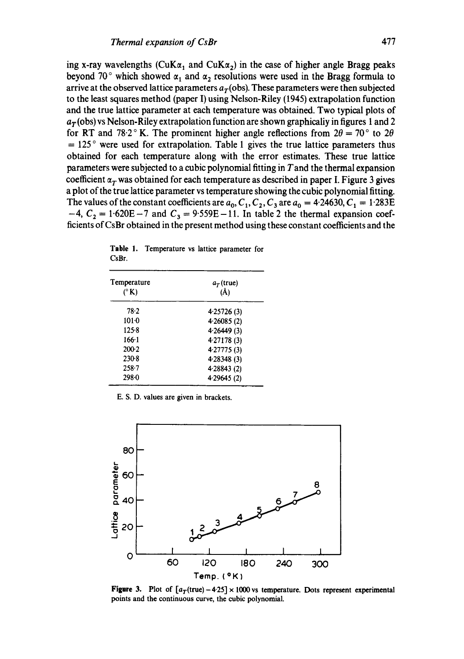ing x-ray wavelengths (CuK $\alpha_1$  and CuK $\alpha_2$ ) in the case of higher angle Bragg peaks beyond 70° which showed  $\alpha_1$  and  $\alpha_2$  resolutions were used in the Bragg formula to arrive at the observed lattice parameters  $a<sub>T</sub>$  (obs). These parameters were then subjected to the least squares method (paper I) using Nelson-Riley (1945) extrapolation function and the true lattice parameter at each temperature was obtained. Two typical plots of  $a_T$ (obs) vs Nelson-Riley extrapolation function are shown graphicaliy in figures 1 and 2 for RT and 78.2° K. The prominent higher angle reflections from  $2\theta = 70^{\circ}$  to  $2\theta$  $= 125$  ° were used for extrapolation. Table 1 gives the true lattice parameters thus obtained for each temperature along with the error estimates. These true lattice parameters were subjected to a cubic polynomial fitting in  $T$  and the thermal expansion coefficient  $\alpha_T$  was obtained for each temperature as described in paper I. Figure 3 gives a plot of the true lattice parameter vs temperature showing the cubic polynomial fitting. The values of the constant coefficients are  $a_0, C_1, C_2, C_3$  are  $a_0 = 4.24630, C_1 = 1.283E$  $-4$ ,  $C_2 = 1.620E - 7$  and  $C_3 = 9.559E - 11$ . In table 2 the thermal expansion coefficients of CsBr obtained in the present method using these constant coefficients and the

| Temperature   | $a_T$ (true)<br>$(\AA)$ |  |  |
|---------------|-------------------------|--|--|
| $(^{\circ}K)$ |                         |  |  |
| 78.2          | 4.25726(3)              |  |  |
| $101-0$       | 4.26085(2)              |  |  |
| 125.8         | 4.26449(3)              |  |  |
| $166-1$       | 4.27178 (3)             |  |  |
| $200-2$       | 4.27775 (3)             |  |  |
| $230-8$       | 428348 (3)              |  |  |
| $258 - 7$     | 4.28843(2)              |  |  |
| 298.0         | 4.29645(2)              |  |  |

|       | Table 1. Temperature vs lattice parameter for |  |  |
|-------|-----------------------------------------------|--|--|
| CsBr. |                                               |  |  |

E. S. D. values are given in brackets.



Figure 3. Plot of  $[a_T(\text{true})-4.25] \times 1000$  vs temperature. Dots represent experimental points and the continuous curve, the cubic polynomial.